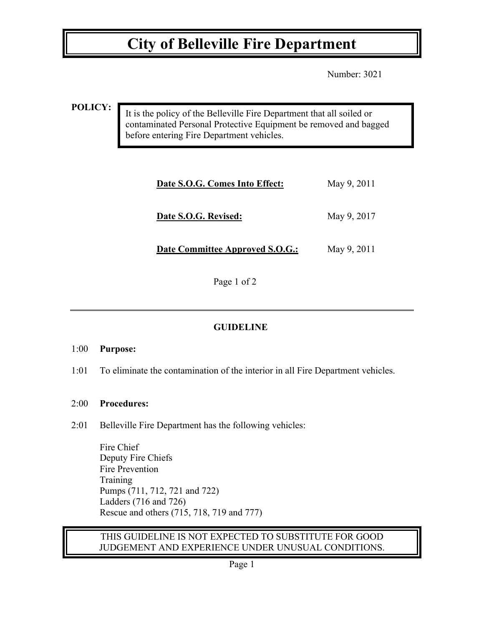## **City of Belleville Fire Department**

Number: 3021

**POLICY:**

It is the policy of the Belleville Fire Department that all soiled or contaminated Personal Protective Equipment be removed and bagged before entering Fire Department vehicles.

| Date S.O.G. Comes Into Effect:         | May 9, 2011 |
|----------------------------------------|-------------|
| Date S.O.G. Revised:                   | May 9, 2017 |
| <b>Date Committee Approved S.O.G.:</b> | May 9, 2011 |

Page 1 of 2

## **GUIDELINE**

### 1:00 **Purpose:**

1:01 To eliminate the contamination of the interior in all Fire Department vehicles.

### 2:00 **Procedures:**

2:01 Belleville Fire Department has the following vehicles:

Fire Chief Deputy Fire Chiefs Fire Prevention **Training** Pumps (711, 712, 721 and 722) Ladders (716 and 726) Rescue and others (715, 718, 719 and 777)

### THIS GUIDELINE IS NOT EXPECTED TO SUBSTITUTE FOR GOOD JUDGEMENT AND EXPERIENCE UNDER UNUSUAL CONDITIONS.